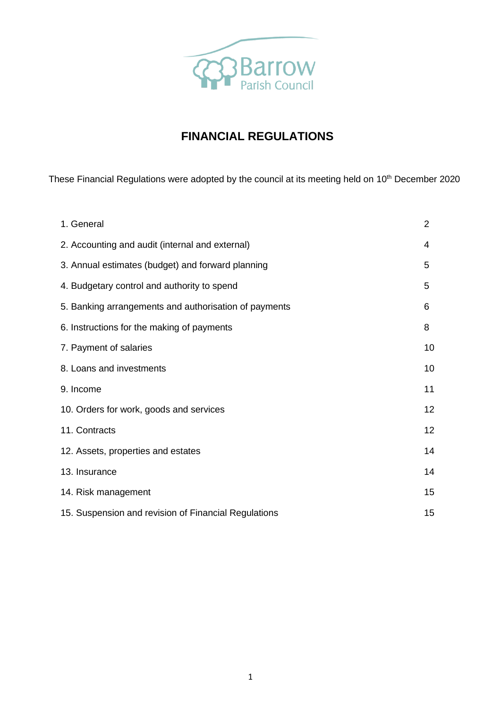

# **FINANCIAL REGULATIONS**

These Financial Regulations were adopted by the council at its meeting held on 10<sup>th</sup> December 2020

| 1. General                                            | $\overline{2}$ |
|-------------------------------------------------------|----------------|
| 2. Accounting and audit (internal and external)       | 4              |
| 3. Annual estimates (budget) and forward planning     | 5              |
| 4. Budgetary control and authority to spend           | 5              |
| 5. Banking arrangements and authorisation of payments | 6              |
| 6. Instructions for the making of payments            | 8              |
| 7. Payment of salaries                                | 10             |
| 8. Loans and investments                              | 10             |
| 9. Income                                             | 11             |
| 10. Orders for work, goods and services               | 12             |
| 11. Contracts                                         | 12             |
| 12. Assets, properties and estates                    | 14             |
| 13. Insurance                                         | 14             |
| 14. Risk management                                   | 15             |
| 15. Suspension and revision of Financial Regulations  | 15             |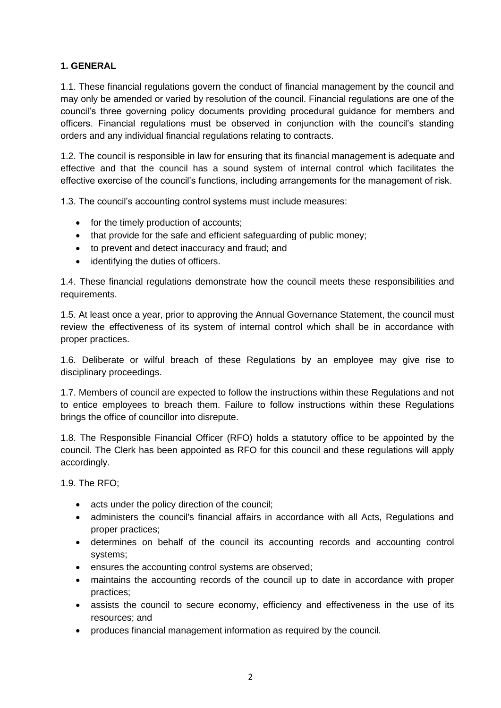# **1. GENERAL**

1.1. These financial regulations govern the conduct of financial management by the council and may only be amended or varied by resolution of the council. Financial regulations are one of the council's three governing policy documents providing procedural guidance for members and officers. Financial regulations must be observed in conjunction with the council's standing orders and any individual financial regulations relating to contracts.

1.2. The council is responsible in law for ensuring that its financial management is adequate and effective and that the council has a sound system of internal control which facilitates the effective exercise of the council's functions, including arrangements for the management of risk.

1.3. The council's accounting control systems must include measures:

- for the timely production of accounts:
- that provide for the safe and efficient safeguarding of public money;
- to prevent and detect inaccuracy and fraud; and
- identifying the duties of officers.

1.4. These financial regulations demonstrate how the council meets these responsibilities and requirements.

1.5. At least once a year, prior to approving the Annual Governance Statement, the council must review the effectiveness of its system of internal control which shall be in accordance with proper practices.

1.6. Deliberate or wilful breach of these Regulations by an employee may give rise to disciplinary proceedings.

1.7. Members of council are expected to follow the instructions within these Regulations and not to entice employees to breach them. Failure to follow instructions within these Regulations brings the office of councillor into disrepute.

1.8. The Responsible Financial Officer (RFO) holds a statutory office to be appointed by the council. The Clerk has been appointed as RFO for this council and these regulations will apply accordingly.

1.9. The RFO;

- acts under the policy direction of the council;
- administers the council's financial affairs in accordance with all Acts, Regulations and proper practices;
- determines on behalf of the council its accounting records and accounting control systems;
- ensures the accounting control systems are observed;
- maintains the accounting records of the council up to date in accordance with proper practices;
- assists the council to secure economy, efficiency and effectiveness in the use of its resources; and
- produces financial management information as required by the council.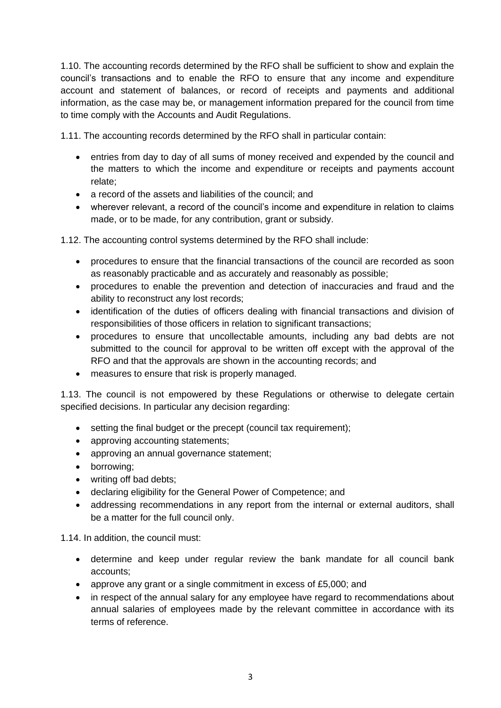1.10. The accounting records determined by the RFO shall be sufficient to show and explain the council's transactions and to enable the RFO to ensure that any income and expenditure account and statement of balances, or record of receipts and payments and additional information, as the case may be, or management information prepared for the council from time to time comply with the Accounts and Audit Regulations.

1.11. The accounting records determined by the RFO shall in particular contain:

- entries from day to day of all sums of money received and expended by the council and the matters to which the income and expenditure or receipts and payments account relate;
- a record of the assets and liabilities of the council; and
- wherever relevant, a record of the council's income and expenditure in relation to claims made, or to be made, for any contribution, grant or subsidy.

1.12. The accounting control systems determined by the RFO shall include:

- procedures to ensure that the financial transactions of the council are recorded as soon as reasonably practicable and as accurately and reasonably as possible;
- procedures to enable the prevention and detection of inaccuracies and fraud and the ability to reconstruct any lost records;
- identification of the duties of officers dealing with financial transactions and division of responsibilities of those officers in relation to significant transactions;
- procedures to ensure that uncollectable amounts, including any bad debts are not submitted to the council for approval to be written off except with the approval of the RFO and that the approvals are shown in the accounting records; and
- measures to ensure that risk is properly managed.

1.13. The council is not empowered by these Regulations or otherwise to delegate certain specified decisions. In particular any decision regarding:

- setting the final budget or the precept (council tax requirement);
- approving accounting statements;
- approving an annual governance statement;
- borrowing;
- writing off bad debts:
- declaring eligibility for the General Power of Competence; and
- addressing recommendations in any report from the internal or external auditors, shall be a matter for the full council only.

1.14. In addition, the council must:

- determine and keep under regular review the bank mandate for all council bank accounts;
- approve any grant or a single commitment in excess of £5,000; and
- in respect of the annual salary for any employee have regard to recommendations about annual salaries of employees made by the relevant committee in accordance with its terms of reference.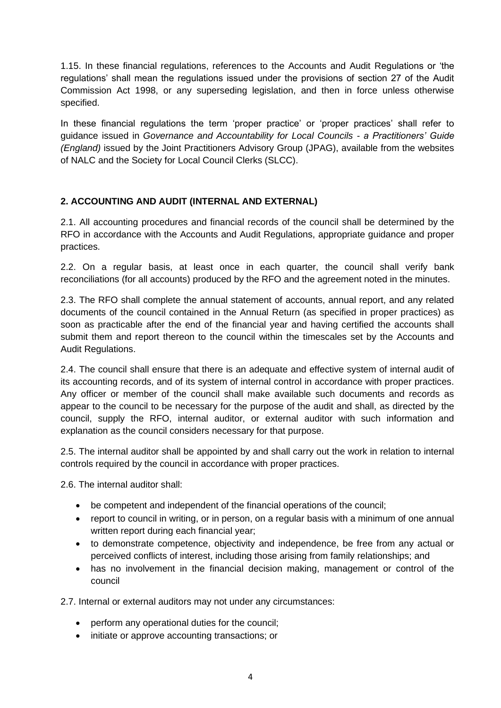1.15. In these financial regulations, references to the Accounts and Audit Regulations or 'the regulations' shall mean the regulations issued under the provisions of section 27 of the Audit Commission Act 1998, or any superseding legislation, and then in force unless otherwise specified.

In these financial regulations the term 'proper practice' or 'proper practices' shall refer to guidance issued in *Governance and Accountability for Local Councils - a Practitioners' Guide (England)* issued by the Joint Practitioners Advisory Group (JPAG), available from the websites of NALC and the Society for Local Council Clerks (SLCC).

# **2. ACCOUNTING AND AUDIT (INTERNAL AND EXTERNAL)**

2.1. All accounting procedures and financial records of the council shall be determined by the RFO in accordance with the Accounts and Audit Regulations, appropriate guidance and proper practices.

2.2. On a regular basis, at least once in each quarter, the council shall verify bank reconciliations (for all accounts) produced by the RFO and the agreement noted in the minutes.

2.3. The RFO shall complete the annual statement of accounts, annual report, and any related documents of the council contained in the Annual Return (as specified in proper practices) as soon as practicable after the end of the financial year and having certified the accounts shall submit them and report thereon to the council within the timescales set by the Accounts and Audit Regulations.

2.4. The council shall ensure that there is an adequate and effective system of internal audit of its accounting records, and of its system of internal control in accordance with proper practices. Any officer or member of the council shall make available such documents and records as appear to the council to be necessary for the purpose of the audit and shall, as directed by the council, supply the RFO, internal auditor, or external auditor with such information and explanation as the council considers necessary for that purpose.

2.5. The internal auditor shall be appointed by and shall carry out the work in relation to internal controls required by the council in accordance with proper practices.

2.6. The internal auditor shall:

- be competent and independent of the financial operations of the council;
- report to council in writing, or in person, on a regular basis with a minimum of one annual written report during each financial year;
- to demonstrate competence, objectivity and independence, be free from any actual or perceived conflicts of interest, including those arising from family relationships; and
- has no involvement in the financial decision making, management or control of the council

2.7. Internal or external auditors may not under any circumstances:

- perform any operational duties for the council;
- initiate or approve accounting transactions; or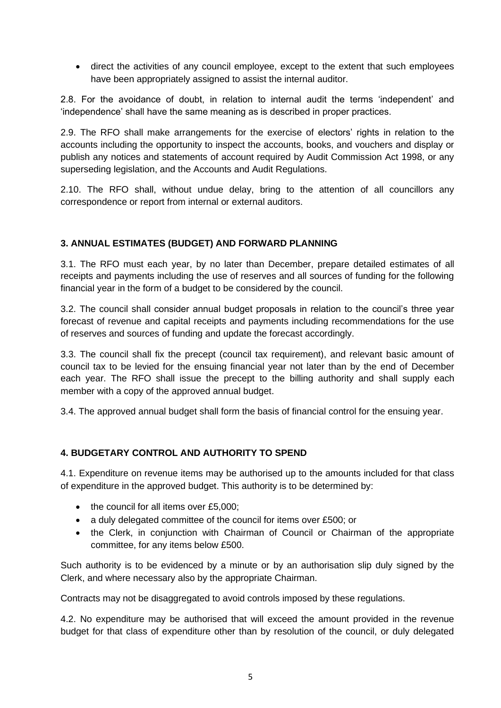• direct the activities of any council employee, except to the extent that such employees have been appropriately assigned to assist the internal auditor.

2.8. For the avoidance of doubt, in relation to internal audit the terms 'independent' and 'independence' shall have the same meaning as is described in proper practices.

2.9. The RFO shall make arrangements for the exercise of electors' rights in relation to the accounts including the opportunity to inspect the accounts, books, and vouchers and display or publish any notices and statements of account required by Audit Commission Act 1998, or any superseding legislation, and the Accounts and Audit Regulations.

2.10. The RFO shall, without undue delay, bring to the attention of all councillors any correspondence or report from internal or external auditors.

# **3. ANNUAL ESTIMATES (BUDGET) AND FORWARD PLANNING**

3.1. The RFO must each year, by no later than December, prepare detailed estimates of all receipts and payments including the use of reserves and all sources of funding for the following financial year in the form of a budget to be considered by the council.

3.2. The council shall consider annual budget proposals in relation to the council's three year forecast of revenue and capital receipts and payments including recommendations for the use of reserves and sources of funding and update the forecast accordingly.

3.3. The council shall fix the precept (council tax requirement), and relevant basic amount of council tax to be levied for the ensuing financial year not later than by the end of December each year. The RFO shall issue the precept to the billing authority and shall supply each member with a copy of the approved annual budget.

3.4. The approved annual budget shall form the basis of financial control for the ensuing year.

# **4. BUDGETARY CONTROL AND AUTHORITY TO SPEND**

4.1. Expenditure on revenue items may be authorised up to the amounts included for that class of expenditure in the approved budget. This authority is to be determined by:

- the council for all items over £5,000;
- a duly delegated committee of the council for items over £500; or
- the Clerk, in conjunction with Chairman of Council or Chairman of the appropriate committee, for any items below £500.

Such authority is to be evidenced by a minute or by an authorisation slip duly signed by the Clerk, and where necessary also by the appropriate Chairman.

Contracts may not be disaggregated to avoid controls imposed by these regulations.

4.2. No expenditure may be authorised that will exceed the amount provided in the revenue budget for that class of expenditure other than by resolution of the council, or duly delegated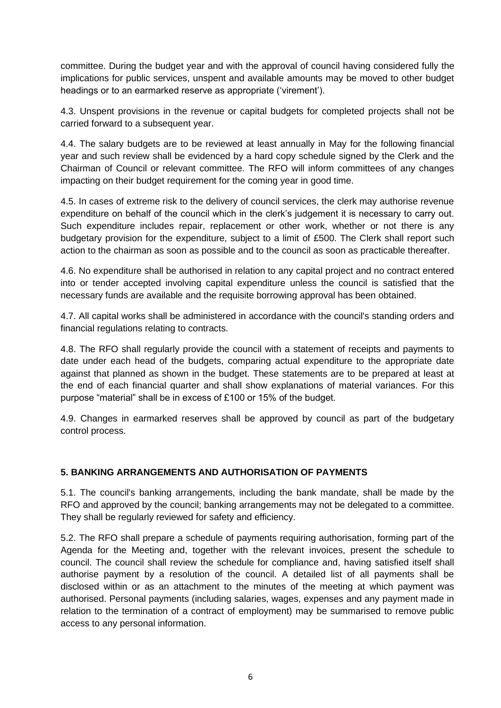committee. During the budget year and with the approval of council having considered fully the implications for public services, unspent and available amounts may be moved to other budget headings or to an earmarked reserve as appropriate ('virement').

4.3. Unspent provisions in the revenue or capital budgets for completed projects shall not be carried forward to a subsequent year.

4.4. The salary budgets are to be reviewed at least annually in May for the following financial year and such review shall be evidenced by a hard copy schedule signed by the Clerk and the Chairman of Council or relevant committee. The RFO will inform committees of any changes impacting on their budget requirement for the coming year in good time.

4.5. In cases of extreme risk to the delivery of council services, the clerk may authorise revenue expenditure on behalf of the council which in the clerk's judgement it is necessary to carry out. Such expenditure includes repair, replacement or other work, whether or not there is any budgetary provision for the expenditure, subject to a limit of £500. The Clerk shall report such action to the chairman as soon as possible and to the council as soon as practicable thereafter.

4.6. No expenditure shall be authorised in relation to any capital project and no contract entered into or tender accepted involving capital expenditure unless the council is satisfied that the necessary funds are available and the requisite borrowing approval has been obtained.

4.7. All capital works shall be administered in accordance with the council's standing orders and financial regulations relating to contracts.

4.8. The RFO shall regularly provide the council with a statement of receipts and payments to date under each head of the budgets, comparing actual expenditure to the appropriate date against that planned as shown in the budget. These statements are to be prepared at least at the end of each financial quarter and shall show explanations of material variances. For this purpose "material" shall be in excess of £100 or 15% of the budget.

4.9. Changes in earmarked reserves shall be approved by council as part of the budgetary control process.

# **5. BANKING ARRANGEMENTS AND AUTHORISATION OF PAYMENTS**

5.1. The council's banking arrangements, including the bank mandate, shall be made by the RFO and approved by the council; banking arrangements may not be delegated to a committee. They shall be regularly reviewed for safety and efficiency.

5.2. The RFO shall prepare a schedule of payments requiring authorisation, forming part of the Agenda for the Meeting and, together with the relevant invoices, present the schedule to council. The council shall review the schedule for compliance and, having satisfied itself shall authorise payment by a resolution of the council. A detailed list of all payments shall be disclosed within or as an attachment to the minutes of the meeting at which payment was authorised. Personal payments (including salaries, wages, expenses and any payment made in relation to the termination of a contract of employment) may be summarised to remove public access to any personal information.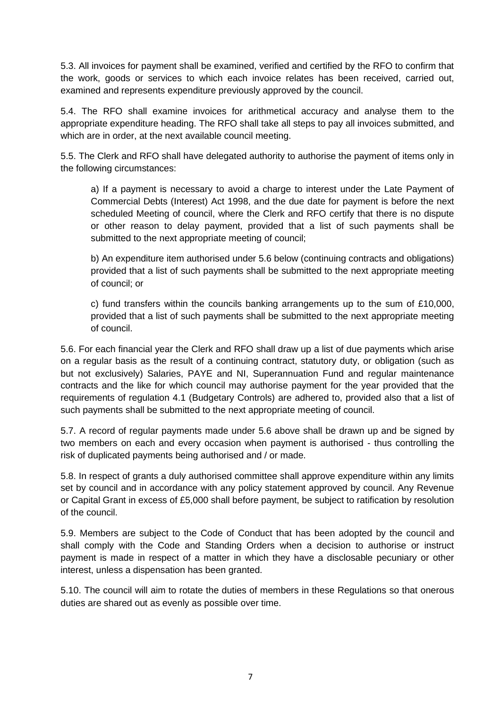5.3. All invoices for payment shall be examined, verified and certified by the RFO to confirm that the work, goods or services to which each invoice relates has been received, carried out, examined and represents expenditure previously approved by the council.

5.4. The RFO shall examine invoices for arithmetical accuracy and analyse them to the appropriate expenditure heading. The RFO shall take all steps to pay all invoices submitted, and which are in order, at the next available council meeting.

5.5. The Clerk and RFO shall have delegated authority to authorise the payment of items only in the following circumstances:

a) If a payment is necessary to avoid a charge to interest under the Late Payment of Commercial Debts (Interest) Act 1998, and the due date for payment is before the next scheduled Meeting of council, where the Clerk and RFO certify that there is no dispute or other reason to delay payment, provided that a list of such payments shall be submitted to the next appropriate meeting of council;

b) An expenditure item authorised under 5.6 below (continuing contracts and obligations) provided that a list of such payments shall be submitted to the next appropriate meeting of council; or

c) fund transfers within the councils banking arrangements up to the sum of £10,000, provided that a list of such payments shall be submitted to the next appropriate meeting of council.

5.6. For each financial year the Clerk and RFO shall draw up a list of due payments which arise on a regular basis as the result of a continuing contract, statutory duty, or obligation (such as but not exclusively) Salaries, PAYE and NI, Superannuation Fund and regular maintenance contracts and the like for which council may authorise payment for the year provided that the requirements of regulation 4.1 (Budgetary Controls) are adhered to, provided also that a list of such payments shall be submitted to the next appropriate meeting of council.

5.7. A record of regular payments made under 5.6 above shall be drawn up and be signed by two members on each and every occasion when payment is authorised - thus controlling the risk of duplicated payments being authorised and / or made.

5.8. In respect of grants a duly authorised committee shall approve expenditure within any limits set by council and in accordance with any policy statement approved by council. Any Revenue or Capital Grant in excess of £5,000 shall before payment, be subject to ratification by resolution of the council.

5.9. Members are subject to the Code of Conduct that has been adopted by the council and shall comply with the Code and Standing Orders when a decision to authorise or instruct payment is made in respect of a matter in which they have a disclosable pecuniary or other interest, unless a dispensation has been granted.

5.10. The council will aim to rotate the duties of members in these Regulations so that onerous duties are shared out as evenly as possible over time.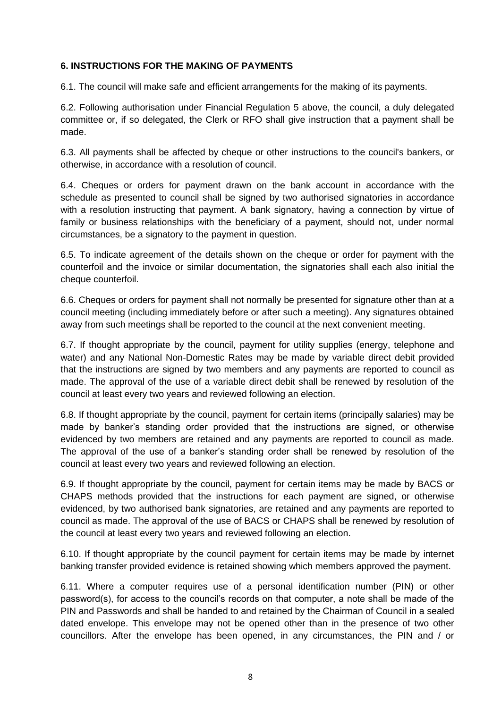### **6. INSTRUCTIONS FOR THE MAKING OF PAYMENTS**

6.1. The council will make safe and efficient arrangements for the making of its payments.

6.2. Following authorisation under Financial Regulation 5 above, the council, a duly delegated committee or, if so delegated, the Clerk or RFO shall give instruction that a payment shall be made.

6.3. All payments shall be affected by cheque or other instructions to the council's bankers, or otherwise, in accordance with a resolution of council.

6.4. Cheques or orders for payment drawn on the bank account in accordance with the schedule as presented to council shall be signed by two authorised signatories in accordance with a resolution instructing that payment. A bank signatory, having a connection by virtue of family or business relationships with the beneficiary of a payment, should not, under normal circumstances, be a signatory to the payment in question.

6.5. To indicate agreement of the details shown on the cheque or order for payment with the counterfoil and the invoice or similar documentation, the signatories shall each also initial the cheque counterfoil.

6.6. Cheques or orders for payment shall not normally be presented for signature other than at a council meeting (including immediately before or after such a meeting). Any signatures obtained away from such meetings shall be reported to the council at the next convenient meeting.

6.7. If thought appropriate by the council, payment for utility supplies (energy, telephone and water) and any National Non-Domestic Rates may be made by variable direct debit provided that the instructions are signed by two members and any payments are reported to council as made. The approval of the use of a variable direct debit shall be renewed by resolution of the council at least every two years and reviewed following an election.

6.8. If thought appropriate by the council, payment for certain items (principally salaries) may be made by banker's standing order provided that the instructions are signed, or otherwise evidenced by two members are retained and any payments are reported to council as made. The approval of the use of a banker's standing order shall be renewed by resolution of the council at least every two years and reviewed following an election.

6.9. If thought appropriate by the council, payment for certain items may be made by BACS or CHAPS methods provided that the instructions for each payment are signed, or otherwise evidenced, by two authorised bank signatories, are retained and any payments are reported to council as made. The approval of the use of BACS or CHAPS shall be renewed by resolution of the council at least every two years and reviewed following an election.

6.10. If thought appropriate by the council payment for certain items may be made by internet banking transfer provided evidence is retained showing which members approved the payment.

6.11. Where a computer requires use of a personal identification number (PIN) or other password(s), for access to the council's records on that computer, a note shall be made of the PIN and Passwords and shall be handed to and retained by the Chairman of Council in a sealed dated envelope. This envelope may not be opened other than in the presence of two other councillors. After the envelope has been opened, in any circumstances, the PIN and / or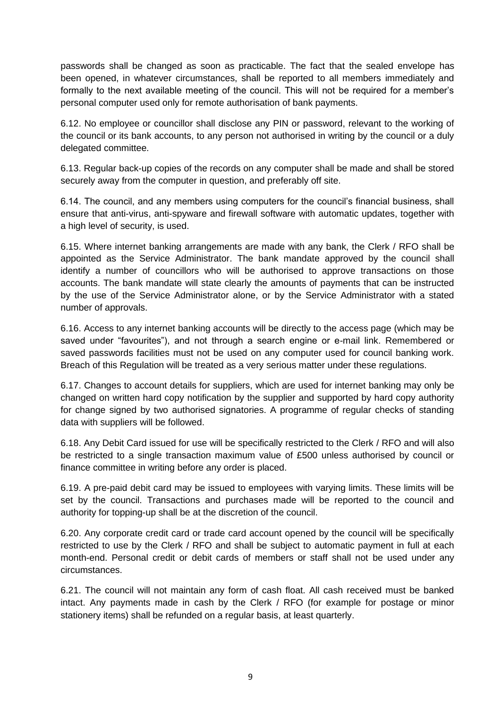passwords shall be changed as soon as practicable. The fact that the sealed envelope has been opened, in whatever circumstances, shall be reported to all members immediately and formally to the next available meeting of the council. This will not be required for a member's personal computer used only for remote authorisation of bank payments.

6.12. No employee or councillor shall disclose any PIN or password, relevant to the working of the council or its bank accounts, to any person not authorised in writing by the council or a duly delegated committee.

6.13. Regular back-up copies of the records on any computer shall be made and shall be stored securely away from the computer in question, and preferably off site.

6.14. The council, and any members using computers for the council's financial business, shall ensure that anti-virus, anti-spyware and firewall software with automatic updates, together with a high level of security, is used.

6.15. Where internet banking arrangements are made with any bank, the Clerk / RFO shall be appointed as the Service Administrator. The bank mandate approved by the council shall identify a number of councillors who will be authorised to approve transactions on those accounts. The bank mandate will state clearly the amounts of payments that can be instructed by the use of the Service Administrator alone, or by the Service Administrator with a stated number of approvals.

6.16. Access to any internet banking accounts will be directly to the access page (which may be saved under "favourites"), and not through a search engine or e-mail link. Remembered or saved passwords facilities must not be used on any computer used for council banking work. Breach of this Regulation will be treated as a very serious matter under these regulations.

6.17. Changes to account details for suppliers, which are used for internet banking may only be changed on written hard copy notification by the supplier and supported by hard copy authority for change signed by two authorised signatories. A programme of regular checks of standing data with suppliers will be followed.

6.18. Any Debit Card issued for use will be specifically restricted to the Clerk / RFO and will also be restricted to a single transaction maximum value of £500 unless authorised by council or finance committee in writing before any order is placed.

6.19. A pre-paid debit card may be issued to employees with varying limits. These limits will be set by the council. Transactions and purchases made will be reported to the council and authority for topping-up shall be at the discretion of the council.

6.20. Any corporate credit card or trade card account opened by the council will be specifically restricted to use by the Clerk / RFO and shall be subject to automatic payment in full at each month-end. Personal credit or debit cards of members or staff shall not be used under any circumstances.

6.21. The council will not maintain any form of cash float. All cash received must be banked intact. Any payments made in cash by the Clerk / RFO (for example for postage or minor stationery items) shall be refunded on a regular basis, at least quarterly.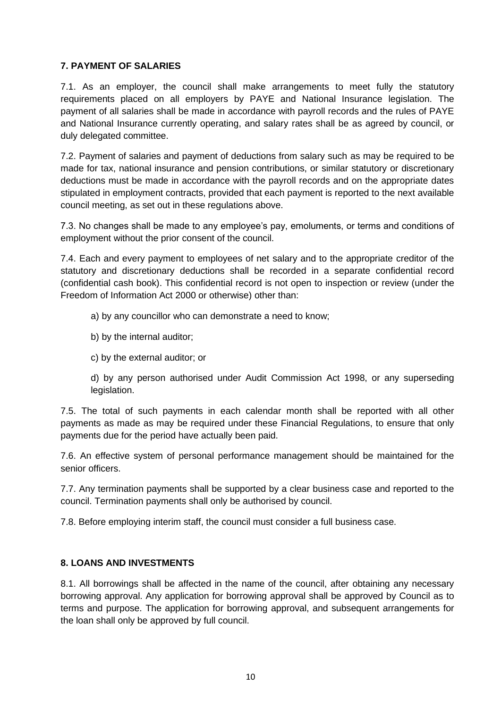# **7. PAYMENT OF SALARIES**

7.1. As an employer, the council shall make arrangements to meet fully the statutory requirements placed on all employers by PAYE and National Insurance legislation. The payment of all salaries shall be made in accordance with payroll records and the rules of PAYE and National Insurance currently operating, and salary rates shall be as agreed by council, or duly delegated committee.

7.2. Payment of salaries and payment of deductions from salary such as may be required to be made for tax, national insurance and pension contributions, or similar statutory or discretionary deductions must be made in accordance with the payroll records and on the appropriate dates stipulated in employment contracts, provided that each payment is reported to the next available council meeting, as set out in these regulations above.

7.3. No changes shall be made to any employee's pay, emoluments, or terms and conditions of employment without the prior consent of the council.

7.4. Each and every payment to employees of net salary and to the appropriate creditor of the statutory and discretionary deductions shall be recorded in a separate confidential record (confidential cash book). This confidential record is not open to inspection or review (under the Freedom of Information Act 2000 or otherwise) other than:

- a) by any councillor who can demonstrate a need to know;
- b) by the internal auditor;
- c) by the external auditor; or

d) by any person authorised under Audit Commission Act 1998, or any superseding legislation.

7.5. The total of such payments in each calendar month shall be reported with all other payments as made as may be required under these Financial Regulations, to ensure that only payments due for the period have actually been paid.

7.6. An effective system of personal performance management should be maintained for the senior officers.

7.7. Any termination payments shall be supported by a clear business case and reported to the council. Termination payments shall only be authorised by council.

7.8. Before employing interim staff, the council must consider a full business case.

#### **8. LOANS AND INVESTMENTS**

8.1. All borrowings shall be affected in the name of the council, after obtaining any necessary borrowing approval. Any application for borrowing approval shall be approved by Council as to terms and purpose. The application for borrowing approval, and subsequent arrangements for the loan shall only be approved by full council.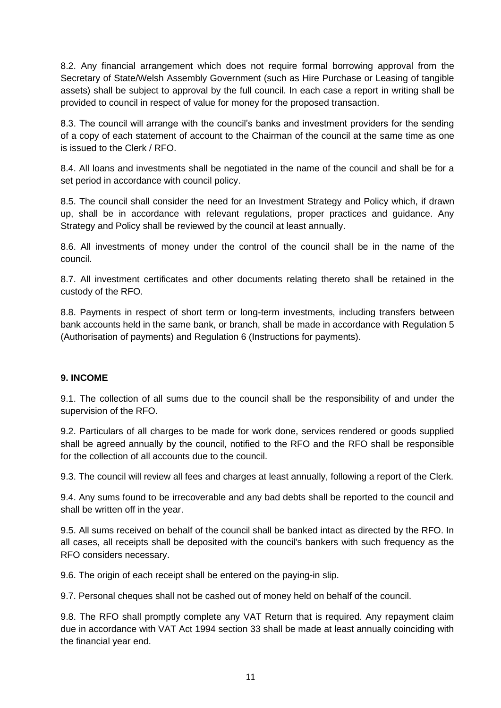8.2. Any financial arrangement which does not require formal borrowing approval from the Secretary of State/Welsh Assembly Government (such as Hire Purchase or Leasing of tangible assets) shall be subject to approval by the full council. In each case a report in writing shall be provided to council in respect of value for money for the proposed transaction.

8.3. The council will arrange with the council's banks and investment providers for the sending of a copy of each statement of account to the Chairman of the council at the same time as one is issued to the Clerk / RFO.

8.4. All loans and investments shall be negotiated in the name of the council and shall be for a set period in accordance with council policy.

8.5. The council shall consider the need for an Investment Strategy and Policy which, if drawn up, shall be in accordance with relevant regulations, proper practices and guidance. Any Strategy and Policy shall be reviewed by the council at least annually.

8.6. All investments of money under the control of the council shall be in the name of the council.

8.7. All investment certificates and other documents relating thereto shall be retained in the custody of the RFO.

8.8. Payments in respect of short term or long-term investments, including transfers between bank accounts held in the same bank, or branch, shall be made in accordance with Regulation 5 (Authorisation of payments) and Regulation 6 (Instructions for payments).

# **9. INCOME**

9.1. The collection of all sums due to the council shall be the responsibility of and under the supervision of the RFO.

9.2. Particulars of all charges to be made for work done, services rendered or goods supplied shall be agreed annually by the council, notified to the RFO and the RFO shall be responsible for the collection of all accounts due to the council.

9.3. The council will review all fees and charges at least annually, following a report of the Clerk.

9.4. Any sums found to be irrecoverable and any bad debts shall be reported to the council and shall be written off in the year.

9.5. All sums received on behalf of the council shall be banked intact as directed by the RFO. In all cases, all receipts shall be deposited with the council's bankers with such frequency as the RFO considers necessary.

9.6. The origin of each receipt shall be entered on the paying-in slip.

9.7. Personal cheques shall not be cashed out of money held on behalf of the council.

9.8. The RFO shall promptly complete any VAT Return that is required. Any repayment claim due in accordance with VAT Act 1994 section 33 shall be made at least annually coinciding with the financial year end.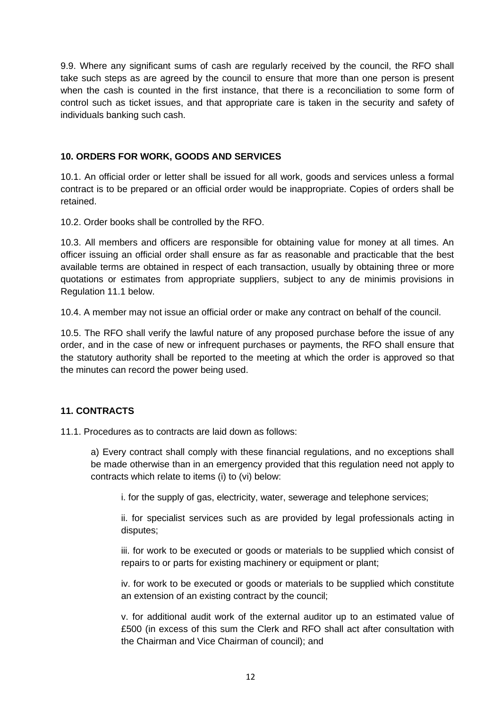9.9. Where any significant sums of cash are regularly received by the council, the RFO shall take such steps as are agreed by the council to ensure that more than one person is present when the cash is counted in the first instance, that there is a reconciliation to some form of control such as ticket issues, and that appropriate care is taken in the security and safety of individuals banking such cash.

## **10. ORDERS FOR WORK, GOODS AND SERVICES**

10.1. An official order or letter shall be issued for all work, goods and services unless a formal contract is to be prepared or an official order would be inappropriate. Copies of orders shall be retained.

10.2. Order books shall be controlled by the RFO.

10.3. All members and officers are responsible for obtaining value for money at all times. An officer issuing an official order shall ensure as far as reasonable and practicable that the best available terms are obtained in respect of each transaction, usually by obtaining three or more quotations or estimates from appropriate suppliers, subject to any de minimis provisions in Regulation 11.1 below.

10.4. A member may not issue an official order or make any contract on behalf of the council.

10.5. The RFO shall verify the lawful nature of any proposed purchase before the issue of any order, and in the case of new or infrequent purchases or payments, the RFO shall ensure that the statutory authority shall be reported to the meeting at which the order is approved so that the minutes can record the power being used.

#### **11. CONTRACTS**

11.1. Procedures as to contracts are laid down as follows:

a) Every contract shall comply with these financial regulations, and no exceptions shall be made otherwise than in an emergency provided that this regulation need not apply to contracts which relate to items (i) to (vi) below:

i. for the supply of gas, electricity, water, sewerage and telephone services;

ii. for specialist services such as are provided by legal professionals acting in disputes;

iii. for work to be executed or goods or materials to be supplied which consist of repairs to or parts for existing machinery or equipment or plant;

iv. for work to be executed or goods or materials to be supplied which constitute an extension of an existing contract by the council;

v. for additional audit work of the external auditor up to an estimated value of £500 (in excess of this sum the Clerk and RFO shall act after consultation with the Chairman and Vice Chairman of council); and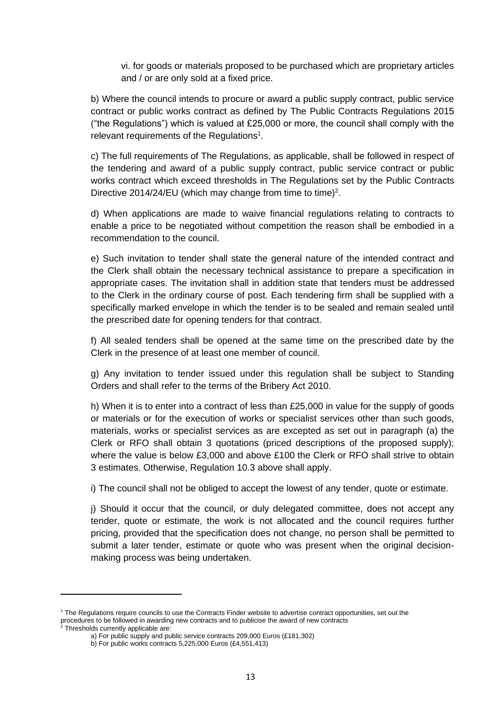vi. for goods or materials proposed to be purchased which are proprietary articles and / or are only sold at a fixed price.

b) Where the council intends to procure or award a public supply contract, public service contract or public works contract as defined by The Public Contracts Regulations 2015 ("the Regulations") which is valued at £25,000 or more, the council shall comply with the relevant requirements of the Regulations<sup>1</sup>.

c) The full requirements of The Regulations, as applicable, shall be followed in respect of the tendering and award of a public supply contract, public service contract or public works contract which exceed thresholds in The Regulations set by the Public Contracts Directive 2014/24/EU (which may change from time to time)<sup>2</sup>.

d) When applications are made to waive financial regulations relating to contracts to enable a price to be negotiated without competition the reason shall be embodied in a recommendation to the council.

e) Such invitation to tender shall state the general nature of the intended contract and the Clerk shall obtain the necessary technical assistance to prepare a specification in appropriate cases. The invitation shall in addition state that tenders must be addressed to the Clerk in the ordinary course of post. Each tendering firm shall be supplied with a specifically marked envelope in which the tender is to be sealed and remain sealed until the prescribed date for opening tenders for that contract.

f) All sealed tenders shall be opened at the same time on the prescribed date by the Clerk in the presence of at least one member of council.

g) Any invitation to tender issued under this regulation shall be subject to Standing Orders and shall refer to the terms of the Bribery Act 2010.

h) When it is to enter into a contract of less than £25,000 in value for the supply of goods or materials or for the execution of works or specialist services other than such goods, materials, works or specialist services as are excepted as set out in paragraph (a) the Clerk or RFO shall obtain 3 quotations (priced descriptions of the proposed supply); where the value is below £3,000 and above £100 the Clerk or RFO shall strive to obtain 3 estimates. Otherwise, Regulation 10.3 above shall apply.

i) The council shall not be obliged to accept the lowest of any tender, quote or estimate.

j) Should it occur that the council, or duly delegated committee, does not accept any tender, quote or estimate, the work is not allocated and the council requires further pricing, provided that the specification does not change, no person shall be permitted to submit a later tender, estimate or quote who was present when the original decisionmaking process was being undertaken.

<sup>1</sup> The Regulations require councils to use the Contracts Finder website to advertise contract opportunities, set out the procedures to be followed in awarding new contracts and to publicise the award of new contracts

 $2$  Thresholds currently applicable are:

a) For public supply and public service contracts 209,000 Euros (£181,302)

b) For public works contracts 5,225,000 Euros (£4,551,413)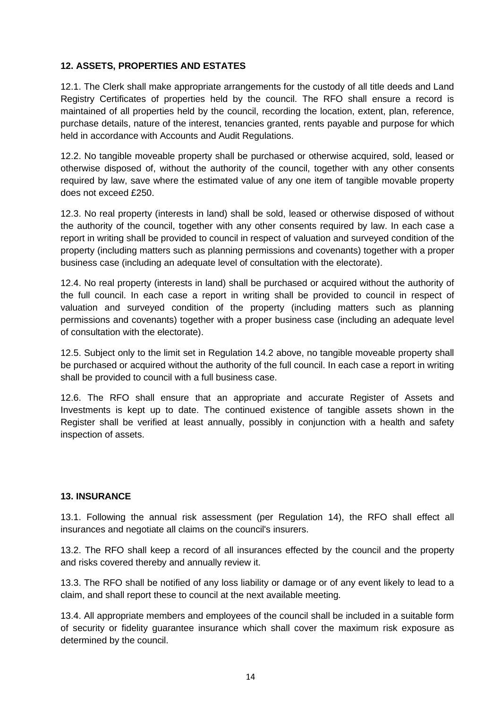## **12. ASSETS, PROPERTIES AND ESTATES**

12.1. The Clerk shall make appropriate arrangements for the custody of all title deeds and Land Registry Certificates of properties held by the council. The RFO shall ensure a record is maintained of all properties held by the council, recording the location, extent, plan, reference, purchase details, nature of the interest, tenancies granted, rents payable and purpose for which held in accordance with Accounts and Audit Regulations.

12.2. No tangible moveable property shall be purchased or otherwise acquired, sold, leased or otherwise disposed of, without the authority of the council, together with any other consents required by law, save where the estimated value of any one item of tangible movable property does not exceed £250.

12.3. No real property (interests in land) shall be sold, leased or otherwise disposed of without the authority of the council, together with any other consents required by law. In each case a report in writing shall be provided to council in respect of valuation and surveyed condition of the property (including matters such as planning permissions and covenants) together with a proper business case (including an adequate level of consultation with the electorate).

12.4. No real property (interests in land) shall be purchased or acquired without the authority of the full council. In each case a report in writing shall be provided to council in respect of valuation and surveyed condition of the property (including matters such as planning permissions and covenants) together with a proper business case (including an adequate level of consultation with the electorate).

12.5. Subject only to the limit set in Regulation 14.2 above, no tangible moveable property shall be purchased or acquired without the authority of the full council. In each case a report in writing shall be provided to council with a full business case.

12.6. The RFO shall ensure that an appropriate and accurate Register of Assets and Investments is kept up to date. The continued existence of tangible assets shown in the Register shall be verified at least annually, possibly in conjunction with a health and safety inspection of assets.

#### **13. INSURANCE**

13.1. Following the annual risk assessment (per Regulation 14), the RFO shall effect all insurances and negotiate all claims on the council's insurers.

13.2. The RFO shall keep a record of all insurances effected by the council and the property and risks covered thereby and annually review it.

13.3. The RFO shall be notified of any loss liability or damage or of any event likely to lead to a claim, and shall report these to council at the next available meeting.

13.4. All appropriate members and employees of the council shall be included in a suitable form of security or fidelity guarantee insurance which shall cover the maximum risk exposure as determined by the council.